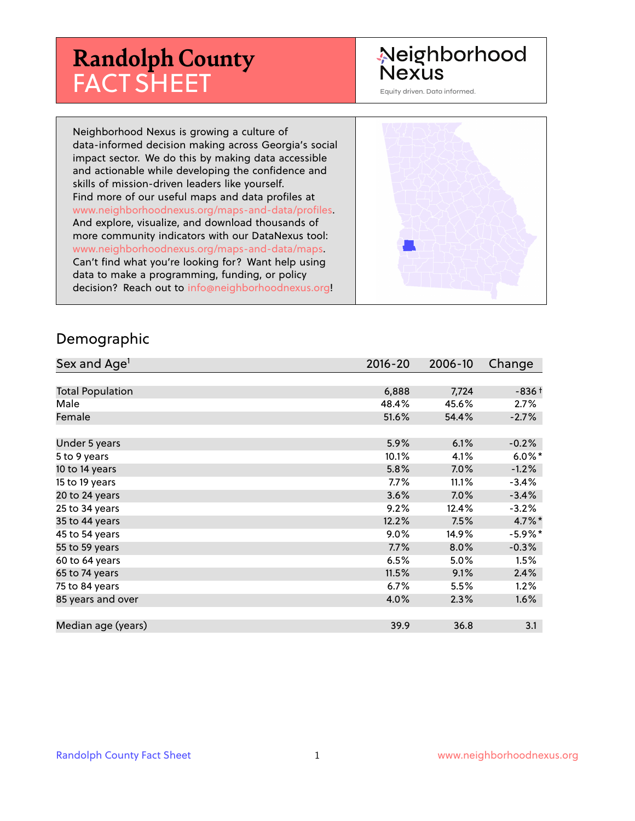# **Randolph County** FACT SHEET

# Neighborhood **Nexus**

Equity driven. Data informed.

Neighborhood Nexus is growing a culture of data-informed decision making across Georgia's social impact sector. We do this by making data accessible and actionable while developing the confidence and skills of mission-driven leaders like yourself. Find more of our useful maps and data profiles at www.neighborhoodnexus.org/maps-and-data/profiles. And explore, visualize, and download thousands of more community indicators with our DataNexus tool: www.neighborhoodnexus.org/maps-and-data/maps. Can't find what you're looking for? Want help using data to make a programming, funding, or policy decision? Reach out to [info@neighborhoodnexus.org!](mailto:info@neighborhoodnexus.org)



#### Demographic

| Sex and Age <sup>1</sup> | $2016 - 20$ | 2006-10 | Change               |
|--------------------------|-------------|---------|----------------------|
|                          |             |         |                      |
| <b>Total Population</b>  | 6,888       | 7,724   | $-836+$              |
| Male                     | 48.4%       | 45.6%   | 2.7%                 |
| Female                   | 51.6%       | 54.4%   | $-2.7%$              |
|                          |             |         |                      |
| Under 5 years            | 5.9%        | 6.1%    | $-0.2%$              |
| 5 to 9 years             | 10.1%       | 4.1%    | $6.0\%$ <sup>*</sup> |
| 10 to 14 years           | 5.8%        | 7.0%    | $-1.2%$              |
| 15 to 19 years           | 7.7%        | 11.1%   | $-3.4%$              |
| 20 to 24 years           | 3.6%        | 7.0%    | $-3.4%$              |
| 25 to 34 years           | 9.2%        | 12.4%   | $-3.2%$              |
| 35 to 44 years           | 12.2%       | 7.5%    | $4.7\%$ <sup>*</sup> |
| 45 to 54 years           | 9.0%        | 14.9%   | $-5.9\%$ *           |
| 55 to 59 years           | 7.7%        | 8.0%    | $-0.3%$              |
| 60 to 64 years           | 6.5%        | 5.0%    | 1.5%                 |
| 65 to 74 years           | 11.5%       | 9.1%    | 2.4%                 |
| 75 to 84 years           | $6.7\%$     | 5.5%    | 1.2%                 |
| 85 years and over        | 4.0%        | 2.3%    | 1.6%                 |
|                          |             |         |                      |
| Median age (years)       | 39.9        | 36.8    | 3.1                  |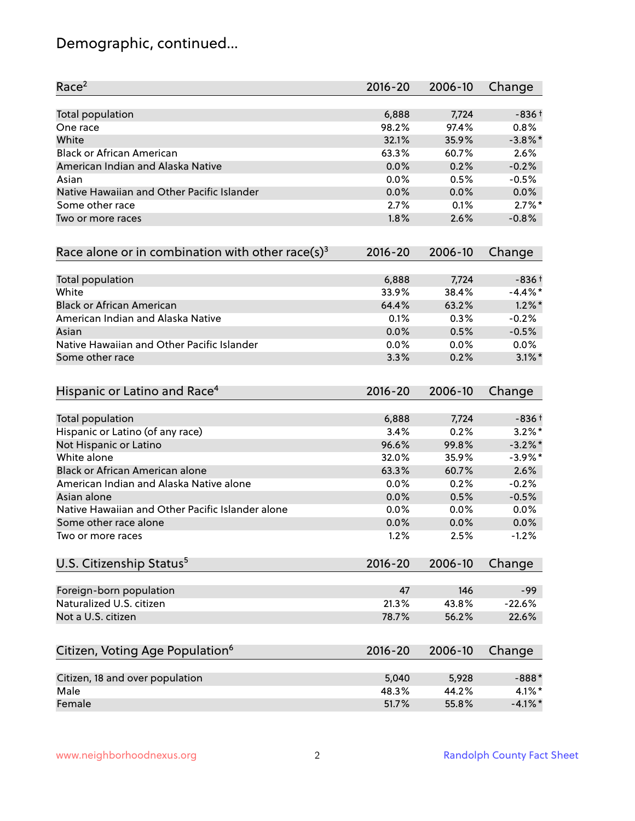# Demographic, continued...

| Race <sup>2</sup>                                            | $2016 - 20$ | 2006-10 | Change     |
|--------------------------------------------------------------|-------------|---------|------------|
| <b>Total population</b>                                      | 6,888       | 7,724   | $-836+$    |
| One race                                                     | 98.2%       | 97.4%   | 0.8%       |
| White                                                        | 32.1%       | 35.9%   | $-3.8\%$ * |
| <b>Black or African American</b>                             | 63.3%       | 60.7%   | 2.6%       |
| American Indian and Alaska Native                            | 0.0%        | 0.2%    | $-0.2%$    |
| Asian                                                        | 0.0%        | 0.5%    | $-0.5%$    |
| Native Hawaiian and Other Pacific Islander                   | 0.0%        | 0.0%    | 0.0%       |
| Some other race                                              | 2.7%        | 0.1%    | $2.7\%$ *  |
| Two or more races                                            | 1.8%        | 2.6%    | $-0.8%$    |
| Race alone or in combination with other race(s) <sup>3</sup> | $2016 - 20$ | 2006-10 | Change     |
| Total population                                             | 6,888       | 7,724   | $-836+$    |
| White                                                        | 33.9%       | 38.4%   | $-4.4\%$ * |
| <b>Black or African American</b>                             | 64.4%       | 63.2%   | $1.2\%$ *  |
| American Indian and Alaska Native                            | 0.1%        | 0.3%    | $-0.2%$    |
| Asian                                                        | 0.0%        | 0.5%    | $-0.5%$    |
| Native Hawaiian and Other Pacific Islander                   | 0.0%        | 0.0%    | 0.0%       |
| Some other race                                              | 3.3%        | 0.2%    | $3.1\%$ *  |
| Hispanic or Latino and Race <sup>4</sup>                     | $2016 - 20$ | 2006-10 | Change     |
| <b>Total population</b>                                      | 6,888       | 7,724   | $-836+$    |
| Hispanic or Latino (of any race)                             | 3.4%        | 0.2%    | $3.2\%$ *  |
| Not Hispanic or Latino                                       | 96.6%       | 99.8%   | $-3.2\%$ * |
| White alone                                                  | 32.0%       | 35.9%   | $-3.9\%$ * |
| Black or African American alone                              | 63.3%       | 60.7%   | 2.6%       |
| American Indian and Alaska Native alone                      | 0.0%        | 0.2%    | $-0.2%$    |
| Asian alone                                                  | 0.0%        | 0.5%    | $-0.5%$    |
| Native Hawaiian and Other Pacific Islander alone             | 0.0%        | 0.0%    | 0.0%       |
| Some other race alone                                        | 0.0%        | 0.0%    | 0.0%       |
| Two or more races                                            | 1.2%        | 2.5%    | $-1.2%$    |
| U.S. Citizenship Status <sup>5</sup>                         | $2016 - 20$ | 2006-10 | Change     |
| Foreign-born population                                      | 47          | 146     | $-99$      |
| Naturalized U.S. citizen                                     | 21.3%       | 43.8%   | $-22.6%$   |
| Not a U.S. citizen                                           | 78.7%       | 56.2%   | 22.6%      |
| Citizen, Voting Age Population <sup>6</sup>                  | $2016 - 20$ | 2006-10 | Change     |
| Citizen, 18 and over population                              | 5,040       | 5,928   | $-888*$    |
| Male                                                         | 48.3%       | 44.2%   | $4.1\%$ *  |
| Female                                                       | 51.7%       | 55.8%   | $-4.1\%$ * |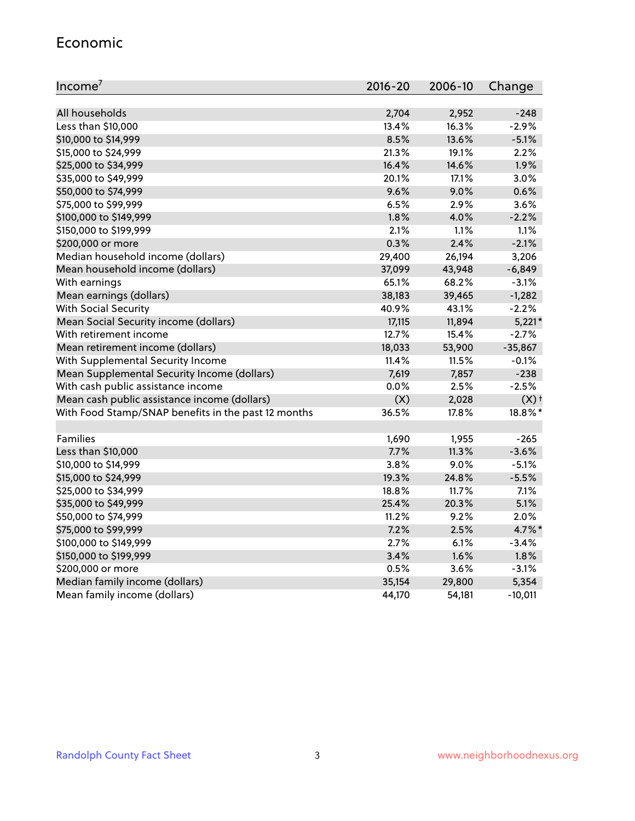#### Economic

| Income <sup>7</sup>                                 | $2016 - 20$ | 2006-10 | Change             |
|-----------------------------------------------------|-------------|---------|--------------------|
|                                                     |             |         |                    |
| All households                                      | 2,704       | 2,952   | $-248$             |
| Less than \$10,000                                  | 13.4%       | 16.3%   | $-2.9%$            |
| \$10,000 to \$14,999                                | 8.5%        | 13.6%   | $-5.1%$            |
| \$15,000 to \$24,999                                | 21.3%       | 19.1%   | 2.2%               |
| \$25,000 to \$34,999                                | 16.4%       | 14.6%   | 1.9%               |
| \$35,000 to \$49,999                                | 20.1%       | 17.1%   | 3.0%               |
| \$50,000 to \$74,999                                | 9.6%        | 9.0%    | 0.6%               |
| \$75,000 to \$99,999                                | 6.5%        | 2.9%    | 3.6%               |
| \$100,000 to \$149,999                              | 1.8%        | 4.0%    | $-2.2%$            |
| \$150,000 to \$199,999                              | 2.1%        | 1.1%    | 1.1%               |
| \$200,000 or more                                   | 0.3%        | 2.4%    | $-2.1%$            |
| Median household income (dollars)                   | 29,400      | 26,194  | 3,206              |
| Mean household income (dollars)                     | 37,099      | 43,948  | $-6,849$           |
| With earnings                                       | 65.1%       | 68.2%   | $-3.1%$            |
| Mean earnings (dollars)                             | 38,183      | 39,465  | $-1,282$           |
| <b>With Social Security</b>                         | 40.9%       | 43.1%   | $-2.2%$            |
| Mean Social Security income (dollars)               | 17,115      | 11,894  | $5,221*$           |
| With retirement income                              | 12.7%       | 15.4%   | $-2.7%$            |
| Mean retirement income (dollars)                    | 18,033      | 53,900  | $-35,867$          |
| With Supplemental Security Income                   | 11.4%       | 11.5%   | $-0.1%$            |
| Mean Supplemental Security Income (dollars)         | 7,619       | 7,857   | $-238$             |
| With cash public assistance income                  | 0.0%        | 2.5%    | $-2.5%$            |
| Mean cash public assistance income (dollars)        | (X)         | 2,028   | $(X)$ <sup>+</sup> |
| With Food Stamp/SNAP benefits in the past 12 months | 36.5%       | 17.8%   | 18.8%*             |
|                                                     |             |         |                    |
| Families                                            | 1,690       | 1,955   | $-265$             |
| Less than \$10,000                                  | 7.7%        | 11.3%   | $-3.6%$            |
| \$10,000 to \$14,999                                | 3.8%        | 9.0%    | $-5.1%$            |
| \$15,000 to \$24,999                                | 19.3%       | 24.8%   | $-5.5%$            |
| \$25,000 to \$34,999                                | 18.8%       | 11.7%   | 7.1%               |
| \$35,000 to \$49,999                                | 25.4%       | 20.3%   | 5.1%               |
| \$50,000 to \$74,999                                | 11.2%       | 9.2%    | 2.0%               |
| \$75,000 to \$99,999                                | 7.2%        | 2.5%    | 4.7%*              |
| \$100,000 to \$149,999                              | 2.7%        | 6.1%    | $-3.4%$            |
| \$150,000 to \$199,999                              | 3.4%        | 1.6%    | 1.8%               |
| \$200,000 or more                                   | 0.5%        | 3.6%    | $-3.1%$            |
| Median family income (dollars)                      | 35,154      | 29,800  | 5,354              |
| Mean family income (dollars)                        | 44,170      | 54,181  | $-10,011$          |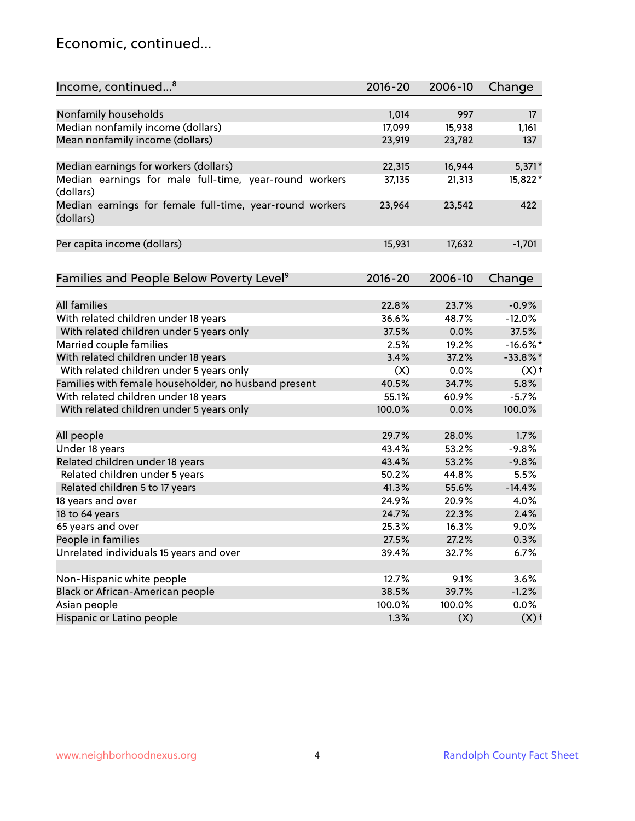### Economic, continued...

| Income, continued <sup>8</sup>                           | 2016-20 | 2006-10 | Change             |
|----------------------------------------------------------|---------|---------|--------------------|
|                                                          |         |         |                    |
| Nonfamily households                                     | 1,014   | 997     | 17                 |
| Median nonfamily income (dollars)                        | 17,099  | 15,938  | 1,161              |
| Mean nonfamily income (dollars)                          | 23,919  | 23,782  | 137                |
| Median earnings for workers (dollars)                    | 22,315  | 16,944  | $5,371*$           |
| Median earnings for male full-time, year-round workers   | 37,135  | 21,313  | 15,822*            |
| (dollars)                                                |         |         |                    |
| Median earnings for female full-time, year-round workers | 23,964  | 23,542  | 422                |
| (dollars)                                                |         |         |                    |
| Per capita income (dollars)                              | 15,931  | 17,632  | $-1,701$           |
|                                                          |         |         |                    |
| Families and People Below Poverty Level <sup>9</sup>     | 2016-20 | 2006-10 | Change             |
|                                                          |         |         |                    |
| <b>All families</b>                                      | 22.8%   | 23.7%   | $-0.9%$            |
| With related children under 18 years                     | 36.6%   | 48.7%   | $-12.0%$           |
| With related children under 5 years only                 | 37.5%   | 0.0%    | 37.5%              |
| Married couple families                                  | 2.5%    | 19.2%   | $-16.6%$ *         |
| With related children under 18 years                     | 3.4%    | 37.2%   | $-33.8%$ *         |
| With related children under 5 years only                 | (X)     | 0.0%    | (X)                |
| Families with female householder, no husband present     | 40.5%   | 34.7%   | 5.8%               |
| With related children under 18 years                     | 55.1%   | 60.9%   | $-5.7%$            |
| With related children under 5 years only                 | 100.0%  | 0.0%    | 100.0%             |
|                                                          |         |         |                    |
| All people                                               | 29.7%   | 28.0%   | 1.7%               |
| Under 18 years                                           | 43.4%   | 53.2%   | $-9.8%$            |
| Related children under 18 years                          | 43.4%   | 53.2%   | $-9.8%$            |
| Related children under 5 years                           | 50.2%   | 44.8%   | 5.5%               |
| Related children 5 to 17 years                           | 41.3%   | 55.6%   | $-14.4%$           |
| 18 years and over                                        | 24.9%   | 20.9%   | 4.0%               |
| 18 to 64 years                                           | 24.7%   | 22.3%   | 2.4%               |
| 65 years and over                                        | 25.3%   | 16.3%   | 9.0%               |
| People in families                                       | 27.5%   | 27.2%   | 0.3%               |
| Unrelated individuals 15 years and over                  | 39.4%   | 32.7%   | 6.7%               |
| Non-Hispanic white people                                | 12.7%   | 9.1%    | 3.6%               |
| Black or African-American people                         | 38.5%   | 39.7%   | $-1.2%$            |
| Asian people                                             | 100.0%  | 100.0%  | 0.0%               |
| Hispanic or Latino people                                | 1.3%    | (X)     | $(X)$ <sup>+</sup> |
|                                                          |         |         |                    |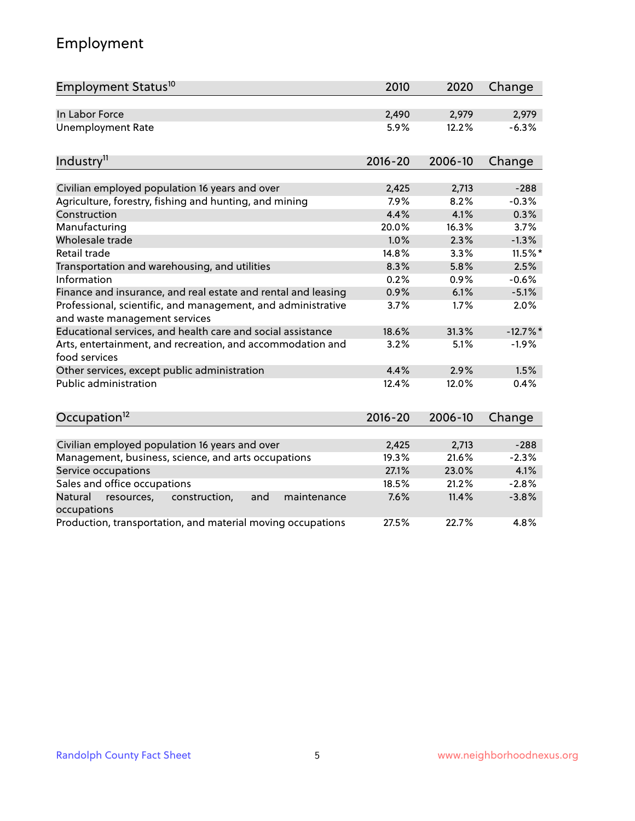# Employment

| Employment Status <sup>10</sup>                                                               | 2010        | 2020    | Change   |
|-----------------------------------------------------------------------------------------------|-------------|---------|----------|
| In Labor Force                                                                                | 2,490       | 2,979   | 2,979    |
| <b>Unemployment Rate</b>                                                                      | 5.9%        | 12.2%   | $-6.3%$  |
| Industry <sup>11</sup>                                                                        | $2016 - 20$ | 2006-10 | Change   |
|                                                                                               |             |         |          |
| Civilian employed population 16 years and over                                                | 2,425       | 2,713   | $-288$   |
| Agriculture, forestry, fishing and hunting, and mining                                        | 7.9%        | 8.2%    | $-0.3%$  |
| Construction                                                                                  | 4.4%        | 4.1%    | 0.3%     |
| Manufacturing                                                                                 | 20.0%       | 16.3%   | 3.7%     |
| Wholesale trade                                                                               | 1.0%        | 2.3%    | $-1.3%$  |
| Retail trade                                                                                  | 14.8%       | 3.3%    | 11.5%*   |
| Transportation and warehousing, and utilities                                                 | 8.3%        | 5.8%    | 2.5%     |
| Information                                                                                   | 0.2%        | 0.9%    | $-0.6%$  |
| Finance and insurance, and real estate and rental and leasing                                 | 0.9%        | 6.1%    | $-5.1%$  |
| Professional, scientific, and management, and administrative<br>and waste management services | 3.7%        | 1.7%    | 2.0%     |
| Educational services, and health care and social assistance                                   | 18.6%       | 31.3%   | $-12.7%$ |
| Arts, entertainment, and recreation, and accommodation and<br>food services                   | 3.2%        | 5.1%    | $-1.9%$  |
| Other services, except public administration                                                  | 4.4%        | 2.9%    | 1.5%     |
| <b>Public administration</b>                                                                  | 12.4%       | 12.0%   | 0.4%     |
| Occupation <sup>12</sup>                                                                      | $2016 - 20$ | 2006-10 | Change   |
|                                                                                               |             |         |          |
| Civilian employed population 16 years and over                                                | 2,425       | 2,713   | $-288$   |
| Management, business, science, and arts occupations                                           | 19.3%       | 21.6%   | $-2.3%$  |
| Service occupations                                                                           | 27.1%       | 23.0%   | 4.1%     |
| Sales and office occupations                                                                  | 18.5%       | 21.2%   | $-2.8%$  |
| Natural<br>resources,<br>construction,<br>and<br>maintenance<br>occupations                   | 7.6%        | 11.4%   | $-3.8%$  |
| Production, transportation, and material moving occupations                                   | 27.5%       | 22.7%   | 4.8%     |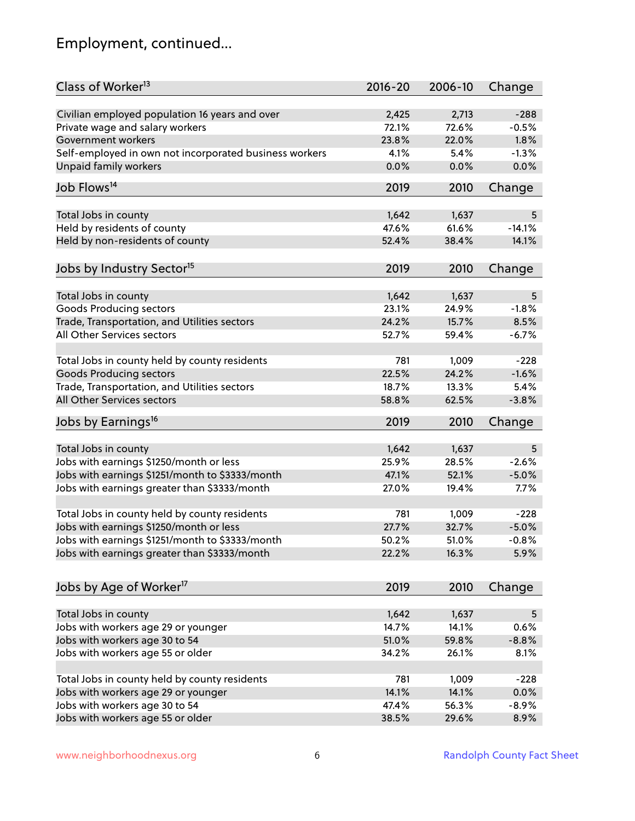# Employment, continued...

| Class of Worker <sup>13</sup>                          | $2016 - 20$ | 2006-10 | Change   |
|--------------------------------------------------------|-------------|---------|----------|
| Civilian employed population 16 years and over         | 2,425       | 2,713   | $-288$   |
| Private wage and salary workers                        | 72.1%       | 72.6%   | $-0.5%$  |
| Government workers                                     | 23.8%       | 22.0%   | 1.8%     |
| Self-employed in own not incorporated business workers | 4.1%        | 5.4%    | $-1.3%$  |
| Unpaid family workers                                  | 0.0%        | 0.0%    | 0.0%     |
|                                                        |             |         |          |
| Job Flows <sup>14</sup>                                | 2019        | 2010    | Change   |
| Total Jobs in county                                   | 1,642       | 1,637   | 5        |
| Held by residents of county                            | 47.6%       | 61.6%   | $-14.1%$ |
| Held by non-residents of county                        | 52.4%       | 38.4%   | 14.1%    |
|                                                        |             |         |          |
| Jobs by Industry Sector <sup>15</sup>                  | 2019        | 2010    | Change   |
| Total Jobs in county                                   | 1,642       | 1,637   | 5        |
| Goods Producing sectors                                | 23.1%       | 24.9%   | $-1.8%$  |
| Trade, Transportation, and Utilities sectors           | 24.2%       | 15.7%   | 8.5%     |
| All Other Services sectors                             | 52.7%       | 59.4%   | $-6.7%$  |
|                                                        |             |         |          |
| Total Jobs in county held by county residents          | 781         | 1,009   | $-228$   |
| <b>Goods Producing sectors</b>                         | 22.5%       | 24.2%   | $-1.6%$  |
| Trade, Transportation, and Utilities sectors           | 18.7%       | 13.3%   | 5.4%     |
| All Other Services sectors                             | 58.8%       | 62.5%   | $-3.8%$  |
| Jobs by Earnings <sup>16</sup>                         | 2019        | 2010    | Change   |
|                                                        |             |         |          |
| Total Jobs in county                                   | 1,642       | 1,637   | 5        |
| Jobs with earnings \$1250/month or less                | 25.9%       | 28.5%   | $-2.6%$  |
| Jobs with earnings \$1251/month to \$3333/month        | 47.1%       | 52.1%   | $-5.0%$  |
| Jobs with earnings greater than \$3333/month           | 27.0%       | 19.4%   | 7.7%     |
|                                                        |             |         |          |
| Total Jobs in county held by county residents          | 781         | 1,009   | $-228$   |
| Jobs with earnings \$1250/month or less                | 27.7%       | 32.7%   | $-5.0%$  |
| Jobs with earnings \$1251/month to \$3333/month        | 50.2%       | 51.0%   | $-0.8\%$ |
| Jobs with earnings greater than \$3333/month           | 22.2%       | 16.3%   | 5.9%     |
| Jobs by Age of Worker <sup>17</sup>                    | 2019        | 2010    | Change   |
|                                                        |             |         |          |
| Total Jobs in county                                   | 1,642       | 1,637   | 5        |
| Jobs with workers age 29 or younger                    | 14.7%       | 14.1%   | 0.6%     |
| Jobs with workers age 30 to 54                         | 51.0%       | 59.8%   | $-8.8%$  |
| Jobs with workers age 55 or older                      | 34.2%       | 26.1%   | 8.1%     |
|                                                        |             |         |          |
| Total Jobs in county held by county residents          | 781         | 1,009   | $-228$   |
| Jobs with workers age 29 or younger                    | 14.1%       | 14.1%   | 0.0%     |
| Jobs with workers age 30 to 54                         | 47.4%       | 56.3%   | $-8.9%$  |
| Jobs with workers age 55 or older                      | 38.5%       | 29.6%   | 8.9%     |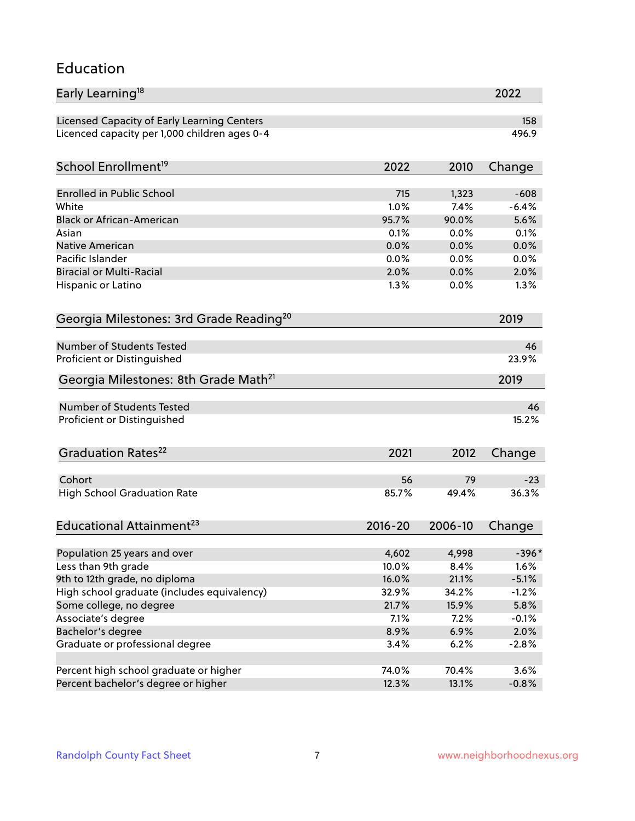#### Education

| Early Learning <sup>18</sup>                        |             |         | 2022    |
|-----------------------------------------------------|-------------|---------|---------|
| Licensed Capacity of Early Learning Centers         |             |         | 158     |
| Licenced capacity per 1,000 children ages 0-4       |             |         | 496.9   |
| School Enrollment <sup>19</sup>                     | 2022        | 2010    | Change  |
|                                                     |             |         |         |
| <b>Enrolled in Public School</b>                    | 715         | 1,323   | $-608$  |
| White                                               | 1.0%        | 7.4%    | $-6.4%$ |
| <b>Black or African-American</b>                    | 95.7%       | 90.0%   | 5.6%    |
| Asian                                               | 0.1%        | 0.0%    | 0.1%    |
| <b>Native American</b>                              | 0.0%        | 0.0%    | 0.0%    |
| Pacific Islander                                    | 0.0%        | 0.0%    | 0.0%    |
| <b>Biracial or Multi-Racial</b>                     | 2.0%        | 0.0%    | 2.0%    |
| Hispanic or Latino                                  | 1.3%        | 0.0%    | 1.3%    |
| Georgia Milestones: 3rd Grade Reading <sup>20</sup> |             |         | 2019    |
|                                                     |             |         |         |
| <b>Number of Students Tested</b>                    |             |         | 46      |
| Proficient or Distinguished                         |             |         | 23.9%   |
| Georgia Milestones: 8th Grade Math <sup>21</sup>    |             |         | 2019    |
| <b>Number of Students Tested</b>                    |             |         | 46      |
| Proficient or Distinguished                         |             |         | 15.2%   |
|                                                     |             |         |         |
| Graduation Rates <sup>22</sup>                      | 2021        | 2012    | Change  |
| Cohort                                              | 56          | 79      | $-23$   |
| <b>High School Graduation Rate</b>                  | 85.7%       | 49.4%   | 36.3%   |
| Educational Attainment <sup>23</sup>                | $2016 - 20$ | 2006-10 |         |
|                                                     |             |         | Change  |
| Population 25 years and over                        | 4,602       | 4,998   | $-396*$ |
| Less than 9th grade                                 | 10.0%       | 8.4%    | 1.6%    |
| 9th to 12th grade, no diploma                       | 16.0%       | 21.1%   | $-5.1%$ |
| High school graduate (includes equivalency)         | 32.9%       | 34.2%   | $-1.2%$ |
| Some college, no degree                             | 21.7%       | 15.9%   | 5.8%    |
| Associate's degree                                  | 7.1%        | 7.2%    | $-0.1%$ |
| Bachelor's degree                                   | 8.9%        | 6.9%    | 2.0%    |
| Graduate or professional degree                     | 3.4%        | 6.2%    | $-2.8%$ |
|                                                     |             |         |         |
| Percent high school graduate or higher              | 74.0%       | 70.4%   | 3.6%    |
| Percent bachelor's degree or higher                 | 12.3%       | 13.1%   | $-0.8%$ |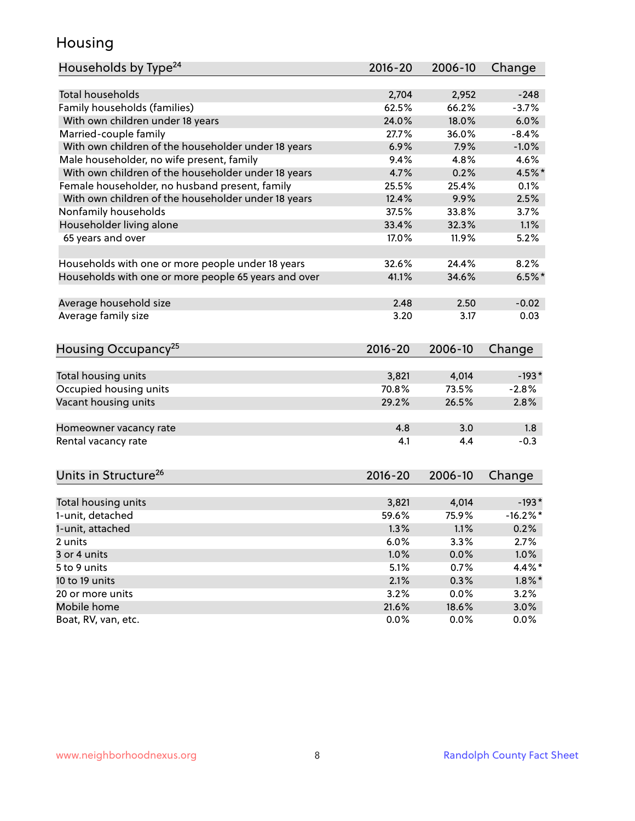### Housing

| Households by Type <sup>24</sup>                     | 2016-20       | 2006-10       | Change       |
|------------------------------------------------------|---------------|---------------|--------------|
|                                                      |               |               |              |
| <b>Total households</b>                              | 2,704         | 2,952         | $-248$       |
| Family households (families)                         | 62.5%         | 66.2%         | $-3.7%$      |
| With own children under 18 years                     | 24.0%         | 18.0%         | 6.0%         |
| Married-couple family                                | 27.7%         | 36.0%         | $-8.4%$      |
| With own children of the householder under 18 years  | 6.9%          | 7.9%          | $-1.0%$      |
| Male householder, no wife present, family            | 9.4%          | 4.8%          | 4.6%         |
| With own children of the householder under 18 years  | 4.7%          | 0.2%          | 4.5%*        |
| Female householder, no husband present, family       | 25.5%         | 25.4%         | 0.1%         |
| With own children of the householder under 18 years  | 12.4%         | 9.9%          | 2.5%         |
| Nonfamily households                                 | 37.5%         | 33.8%         | 3.7%         |
| Householder living alone                             | 33.4%         | 32.3%         | 1.1%         |
| 65 years and over                                    | 17.0%         | 11.9%         | 5.2%         |
|                                                      |               |               |              |
| Households with one or more people under 18 years    | 32.6%         | 24.4%         | 8.2%         |
| Households with one or more people 65 years and over | 41.1%         | 34.6%         | $6.5%$ *     |
|                                                      |               |               |              |
| Average household size                               | 2.48          | 2.50          | $-0.02$      |
| Average family size                                  | 3.20          | 3.17          | 0.03         |
|                                                      |               |               |              |
| Housing Occupancy <sup>25</sup>                      | 2016-20       | 2006-10       | Change       |
|                                                      |               |               |              |
| Total housing units                                  | 3,821         | 4,014         | $-193*$      |
| Occupied housing units                               | 70.8%         | 73.5%         | $-2.8%$      |
| Vacant housing units                                 | 29.2%         | 26.5%         | 2.8%         |
|                                                      |               |               |              |
| Homeowner vacancy rate                               | 4.8           | 3.0           | 1.8          |
| Rental vacancy rate                                  | 4.1           | 4.4           | $-0.3$       |
|                                                      |               |               |              |
| Units in Structure <sup>26</sup>                     | $2016 - 20$   | 2006-10       |              |
|                                                      |               |               | Change       |
| Total housing units                                  | 3,821         | 4,014         | $-193*$      |
| 1-unit, detached                                     | 59.6%         | 75.9%         | $-16.2%$ *   |
| 1-unit, attached                                     | 1.3%          | 1.1%          | 0.2%         |
| 2 units                                              | 6.0%          | 3.3%          | 2.7%         |
| 3 or 4 units                                         | 1.0%          | 0.0%          | 1.0%         |
| 5 to 9 units                                         | 5.1%          | 0.7%          | 4.4%*        |
| 10 to 19 units                                       | 2.1%          | 0.3%          |              |
|                                                      |               |               | $1.8\%$ *    |
| 20 or more units<br>Mobile home                      | 3.2%<br>21.6% | 0.0%<br>18.6% | 3.2%<br>3.0% |
| Boat, RV, van, etc.                                  | 0.0%          | 0.0%          | $0.0\%$      |
|                                                      |               |               |              |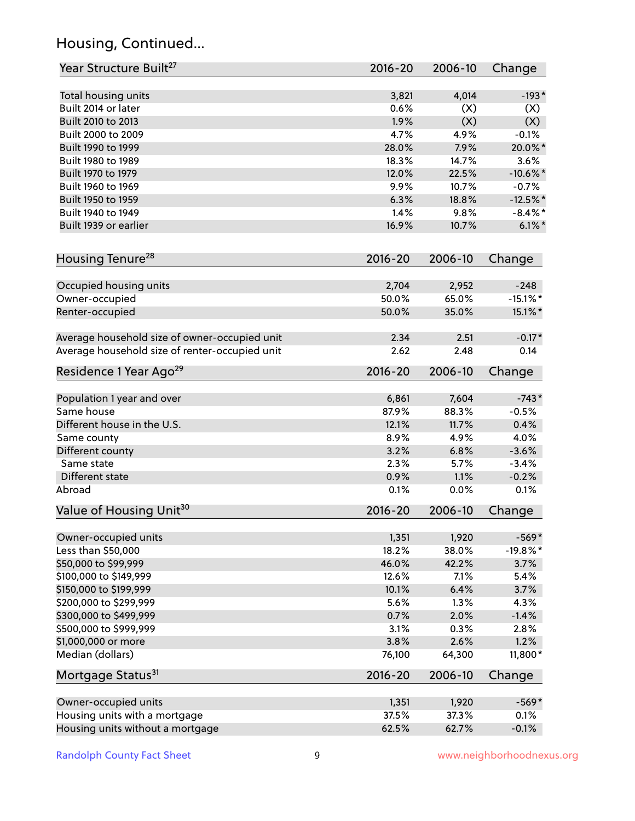# Housing, Continued...

| Year Structure Built <sup>27</sup>               | 2016-20        | 2006-10      | Change                |
|--------------------------------------------------|----------------|--------------|-----------------------|
| Total housing units                              | 3,821          | 4,014        | $-193*$               |
| Built 2014 or later                              | 0.6%           | (X)          | (X)                   |
| Built 2010 to 2013                               | 1.9%           | (X)          | (X)                   |
| Built 2000 to 2009                               | 4.7%           | 4.9%         | $-0.1%$               |
| Built 1990 to 1999                               | 28.0%          | 7.9%         | 20.0%*                |
| Built 1980 to 1989                               | 18.3%          | 14.7%        | 3.6%                  |
| Built 1970 to 1979                               | 12.0%          | 22.5%        | $-10.6\%$ *           |
| Built 1960 to 1969                               | 9.9%           | 10.7%        | $-0.7%$               |
| Built 1950 to 1959                               | 6.3%           | 18.8%        | $-12.5%$              |
| Built 1940 to 1949                               | 1.4%           | 9.8%         | $-8.4\%$ *            |
| Built 1939 or earlier                            | 16.9%          | 10.7%        | $6.1\%$ *             |
| Housing Tenure <sup>28</sup>                     | $2016 - 20$    | 2006-10      | Change                |
|                                                  |                | 2,952        |                       |
| Occupied housing units<br>Owner-occupied         | 2,704<br>50.0% | 65.0%        | $-248$<br>$-15.1\%$ * |
| Renter-occupied                                  | 50.0%          | 35.0%        | 15.1%*                |
|                                                  |                |              |                       |
| Average household size of owner-occupied unit    | 2.34           | 2.51         | $-0.17*$              |
| Average household size of renter-occupied unit   | 2.62           | 2.48         | 0.14                  |
| Residence 1 Year Ago <sup>29</sup>               | $2016 - 20$    | 2006-10      | Change                |
| Population 1 year and over                       | 6,861          | 7,604        | $-743*$               |
| Same house                                       | 87.9%          | 88.3%        | $-0.5%$               |
| Different house in the U.S.                      | 12.1%          | 11.7%        | 0.4%                  |
| Same county                                      | 8.9%           | 4.9%         | 4.0%                  |
| Different county                                 | 3.2%           | 6.8%         | $-3.6%$               |
| Same state                                       | 2.3%           | 5.7%         | $-3.4%$               |
| Different state                                  | 0.9%           | 1.1%         | $-0.2%$               |
| Abroad                                           | 0.1%           | 0.0%         | 0.1%                  |
| Value of Housing Unit <sup>30</sup>              | $2016 - 20$    | 2006-10      | Change                |
|                                                  |                |              |                       |
| Owner-occupied units                             | 1,351          | 1,920        | $-569*$               |
| Less than \$50,000                               | 18.2%          | 38.0%        | $-19.8\%$ *           |
| \$50,000 to \$99,999                             | 46.0%          | 42.2%        | 3.7%                  |
| \$100,000 to \$149,999                           | 12.6%          | 7.1%         | 5.4%                  |
| \$150,000 to \$199,999                           | 10.1%<br>5.6%  | 6.4%<br>1.3% | 3.7%<br>4.3%          |
| \$200,000 to \$299,999<br>\$300,000 to \$499,999 |                |              |                       |
|                                                  | 0.7%<br>3.1%   | 2.0%<br>0.3% | $-1.4%$               |
| \$500,000 to \$999,999                           | 3.8%           | 2.6%         | 2.8%<br>1.2%          |
| \$1,000,000 or more<br>Median (dollars)          | 76,100         | 64,300       | 11,800*               |
|                                                  |                |              |                       |
| Mortgage Status <sup>31</sup>                    | $2016 - 20$    | 2006-10      | Change                |
| Owner-occupied units                             | 1,351          | 1,920        | $-569*$               |
| Housing units with a mortgage                    | 37.5%          | 37.3%        | 0.1%                  |
| Housing units without a mortgage                 | 62.5%          | 62.7%        | $-0.1%$               |
|                                                  |                |              |                       |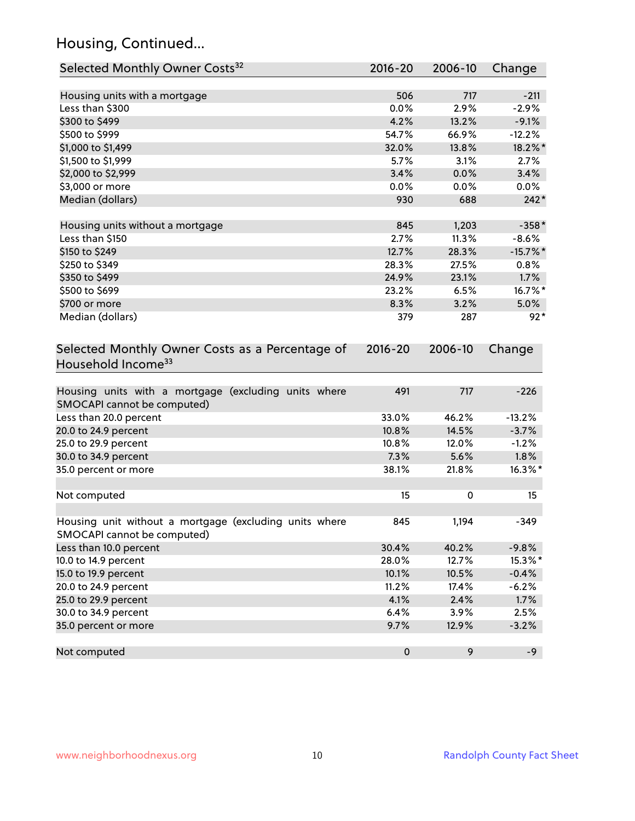# Housing, Continued...

| Selected Monthly Owner Costs <sup>32</sup>                                            | 2016-20     | 2006-10 | Change      |
|---------------------------------------------------------------------------------------|-------------|---------|-------------|
| Housing units with a mortgage                                                         | 506         | 717     | $-211$      |
| Less than \$300                                                                       | 0.0%        | 2.9%    | $-2.9%$     |
| \$300 to \$499                                                                        | 4.2%        | 13.2%   | $-9.1%$     |
| \$500 to \$999                                                                        | 54.7%       | 66.9%   | $-12.2%$    |
| \$1,000 to \$1,499                                                                    | 32.0%       | 13.8%   | 18.2%*      |
| \$1,500 to \$1,999                                                                    | 5.7%        | 3.1%    | 2.7%        |
| \$2,000 to \$2,999                                                                    | 3.4%        | 0.0%    | 3.4%        |
| \$3,000 or more                                                                       | 0.0%        | 0.0%    | $0.0\%$     |
| Median (dollars)                                                                      | 930         | 688     | $242*$      |
|                                                                                       |             |         |             |
| Housing units without a mortgage                                                      | 845         | 1,203   | $-358*$     |
| Less than \$150                                                                       | 2.7%        | 11.3%   | $-8.6%$     |
| \$150 to \$249                                                                        | 12.7%       | 28.3%   | $-15.7\%$ * |
| \$250 to \$349                                                                        | 28.3%       | 27.5%   | 0.8%        |
| \$350 to \$499                                                                        | 24.9%       | 23.1%   | 1.7%        |
| \$500 to \$699                                                                        | 23.2%       | 6.5%    | 16.7%*      |
| \$700 or more                                                                         | 8.3%        | 3.2%    | 5.0%        |
| Median (dollars)                                                                      | 379         | 287     | $92*$       |
| Selected Monthly Owner Costs as a Percentage of<br>Household Income <sup>33</sup>     | $2016 - 20$ | 2006-10 | Change      |
| Housing units with a mortgage (excluding units where<br>SMOCAPI cannot be computed)   | 491         | 717     | $-226$      |
| Less than 20.0 percent                                                                | 33.0%       | 46.2%   | $-13.2%$    |
| 20.0 to 24.9 percent                                                                  | 10.8%       | 14.5%   | $-3.7%$     |
| 25.0 to 29.9 percent                                                                  | 10.8%       | 12.0%   | $-1.2%$     |
| 30.0 to 34.9 percent                                                                  | 7.3%        | 5.6%    | 1.8%        |
| 35.0 percent or more                                                                  | 38.1%       | 21.8%   | $16.3\%$ *  |
| Not computed                                                                          | 15          | 0       | 15          |
| Housing unit without a mortgage (excluding units where<br>SMOCAPI cannot be computed) | 845         | 1,194   | $-349$      |
| Less than 10.0 percent                                                                | 30.4%       | 40.2%   | $-9.8%$     |
| 10.0 to 14.9 percent                                                                  | 28.0%       | 12.7%   | 15.3%*      |
| 15.0 to 19.9 percent                                                                  | 10.1%       | 10.5%   | $-0.4%$     |
| 20.0 to 24.9 percent                                                                  | 11.2%       | 17.4%   | $-6.2%$     |
| 25.0 to 29.9 percent                                                                  | 4.1%        | 2.4%    | 1.7%        |
| 30.0 to 34.9 percent                                                                  | 6.4%        | 3.9%    | 2.5%        |
| 35.0 percent or more                                                                  | 9.7%        | 12.9%   | $-3.2%$     |
| Not computed                                                                          | $\pmb{0}$   | 9       | $-9$        |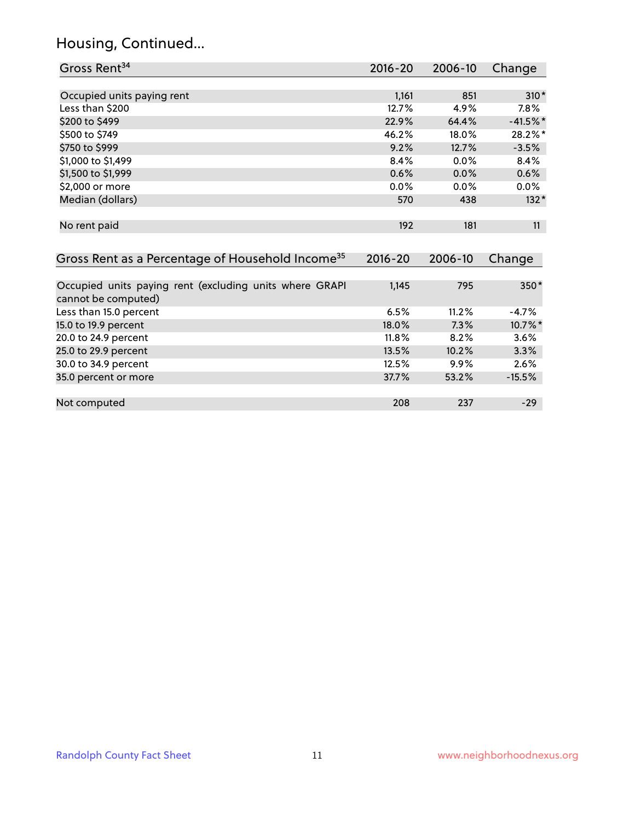### Housing, Continued...

| Gross Rent <sup>34</sup>                                                       | 2016-20     | 2006-10 | Change     |
|--------------------------------------------------------------------------------|-------------|---------|------------|
|                                                                                |             |         |            |
| Occupied units paying rent                                                     | 1,161       | 851     | $310*$     |
| Less than \$200                                                                | 12.7%       | 4.9%    | $7.8\%$    |
| \$200 to \$499                                                                 | 22.9%       | 64.4%   | $-41.5%$ * |
| \$500 to \$749                                                                 | 46.2%       | 18.0%   | 28.2%*     |
| \$750 to \$999                                                                 | 9.2%        | 12.7%   | $-3.5%$    |
| \$1,000 to \$1,499                                                             | 8.4%        | 0.0%    | 8.4%       |
| \$1,500 to \$1,999                                                             | 0.6%        | $0.0\%$ | 0.6%       |
| \$2,000 or more                                                                | $0.0\%$     | $0.0\%$ | $0.0\%$    |
| Median (dollars)                                                               | 570         | 438     | $132*$     |
| No rent paid                                                                   | 192         | 181     | 11         |
| Gross Rent as a Percentage of Household Income <sup>35</sup>                   | $2016 - 20$ | 2006-10 | Change     |
| Occupied units paying rent (excluding units where GRAPI<br>cannot be computed) | 1,145       | 795     | 350*       |
| Less than 15.0 percent                                                         | 6.5%        | 11.2%   | $-4.7%$    |
| 15.0 to 19.9 percent                                                           | 18.0%       | 7.3%    | 10.7%*     |
| 20.0 to 24.9 percent                                                           | 11.8%       | 8.2%    | 3.6%       |
| 25.0 to 29.9 percent                                                           | 13.5%       | 10.2%   | 3.3%       |

| 25.0 to 29.9 percent | 13.5% | $10.2\%$ | 3.3%     |
|----------------------|-------|----------|----------|
| 30.0 to 34.9 percent | 12.5% | $9.9\%$  | 2.6%     |
| 35.0 percent or more | 37.7% | 53.2%    | $-15.5%$ |
|                      |       |          |          |
| Not computed         | 208   | 237      | $-29$    |
|                      |       |          |          |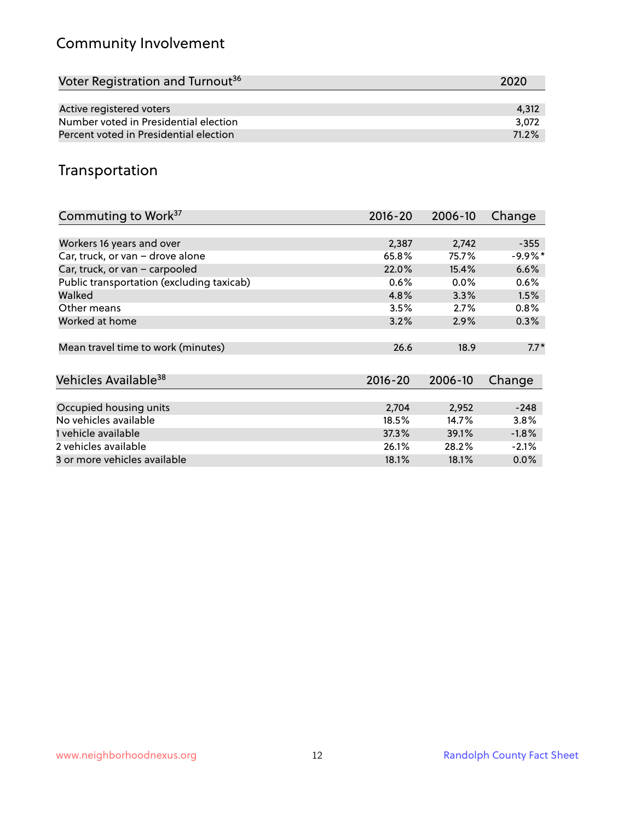# Community Involvement

| Voter Registration and Turnout <sup>36</sup> | 2020  |
|----------------------------------------------|-------|
|                                              |       |
| Active registered voters                     | 4.312 |
| Number voted in Presidential election        | 3.072 |
| Percent voted in Presidential election       | 71.2% |

## Transportation

| Commuting to Work <sup>37</sup>           | 2016-20     | 2006-10 | Change    |
|-------------------------------------------|-------------|---------|-----------|
|                                           |             |         |           |
| Workers 16 years and over                 | 2,387       | 2,742   | $-355$    |
| Car, truck, or van - drove alone          | 65.8%       | 75.7%   | $-9.9%$ * |
| Car, truck, or van - carpooled            | 22.0%       | 15.4%   | 6.6%      |
| Public transportation (excluding taxicab) | 0.6%        | $0.0\%$ | 0.6%      |
| Walked                                    | 4.8%        | 3.3%    | 1.5%      |
| Other means                               | 3.5%        | 2.7%    | $0.8\%$   |
| Worked at home                            | 3.2%        | 2.9%    | 0.3%      |
| Mean travel time to work (minutes)        | 26.6        | 18.9    | $7.7*$    |
|                                           |             |         |           |
| Vehicles Available <sup>38</sup>          | $2016 - 20$ | 2006-10 | Change    |
| Occupied housing units                    | 2,704       | 2,952   | $-248$    |
| No vehicles available                     | 18.5%       | 14.7%   | 3.8%      |
| 1 vehicle available                       | 37.3%       | 39.1%   | $-1.8%$   |
| 2 vehicles available                      | 26.1%       | 28.2%   | $-2.1%$   |
| 3 or more vehicles available              | 18.1%       | 18.1%   | $0.0\%$   |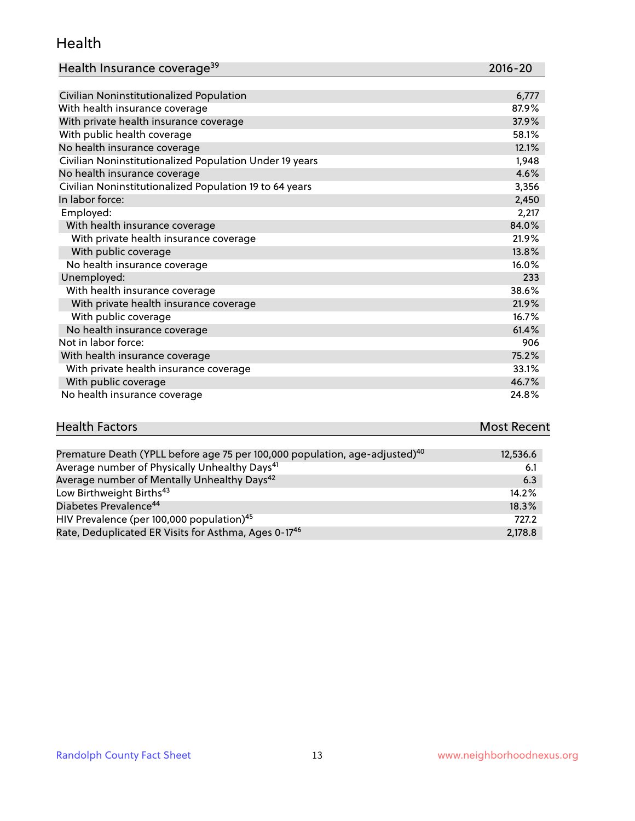#### Health

| Health Insurance coverage <sup>39</sup> | 2016-20 |
|-----------------------------------------|---------|
|-----------------------------------------|---------|

| Civilian Noninstitutionalized Population                | 6,777 |
|---------------------------------------------------------|-------|
| With health insurance coverage                          | 87.9% |
| With private health insurance coverage                  | 37.9% |
| With public health coverage                             | 58.1% |
| No health insurance coverage                            | 12.1% |
| Civilian Noninstitutionalized Population Under 19 years | 1,948 |
| No health insurance coverage                            | 4.6%  |
| Civilian Noninstitutionalized Population 19 to 64 years | 3,356 |
| In labor force:                                         | 2,450 |
| Employed:                                               | 2,217 |
| With health insurance coverage                          | 84.0% |
| With private health insurance coverage                  | 21.9% |
| With public coverage                                    | 13.8% |
| No health insurance coverage                            | 16.0% |
| Unemployed:                                             | 233   |
| With health insurance coverage                          | 38.6% |
| With private health insurance coverage                  | 21.9% |
| With public coverage                                    | 16.7% |
| No health insurance coverage                            | 61.4% |
| Not in labor force:                                     | 906   |
| With health insurance coverage                          | 75.2% |
| With private health insurance coverage                  | 33.1% |
| With public coverage                                    | 46.7% |
| No health insurance coverage                            | 24.8% |

| <b>Health Factors</b>                                                                   | <b>Most Recent</b> |
|-----------------------------------------------------------------------------------------|--------------------|
|                                                                                         |                    |
| Premature Death (YPLL before age 75 per 100,000 population, age-adjusted) <sup>40</sup> | 12.536.6           |

| Premature Death (TPLL before age 75 per 100,000 population, age-adjusted). | 12,530.0 |
|----------------------------------------------------------------------------|----------|
| Average number of Physically Unhealthy Days <sup>41</sup>                  | 6.1      |
| Average number of Mentally Unhealthy Days <sup>42</sup>                    | 6.3      |
| Low Birthweight Births <sup>43</sup>                                       | 14.2%    |
| Diabetes Prevalence <sup>44</sup>                                          | 18.3%    |
| HIV Prevalence (per 100,000 population) <sup>45</sup>                      | 727.2    |
| Rate, Deduplicated ER Visits for Asthma, Ages 0-17 <sup>46</sup>           | 2.178.8  |